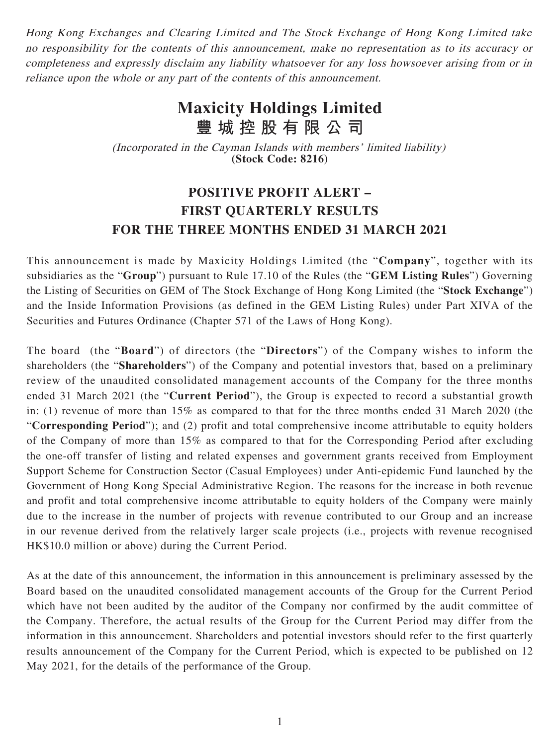Hong Kong Exchanges and Clearing Limited and The Stock Exchange of Hong Kong Limited take no responsibility for the contents of this announcement, make no representation as to its accuracy or completeness and expressly disclaim any liability whatsoever for any loss howsoever arising from or in reliance upon the whole or any part of the contents of this announcement.

## **Maxicity Holdings Limited 豐城控股有限公司**

(Incorporated in the Cayman Islands with members' limited liability) **(Stock Code: 8216)**

## **POSITIVE PROFIT ALERT – FIRST QUARTERLY RESULTS FOR THE THREE MONTHS ENDED 31 MARCH 2021**

This announcement is made by Maxicity Holdings Limited (the "**Company**", together with its subsidiaries as the "**Group**") pursuant to Rule 17.10 of the Rules (the "**GEM Listing Rules**") Governing the Listing of Securities on GEM of The Stock Exchange of Hong Kong Limited (the "**Stock Exchange**") and the Inside Information Provisions (as defined in the GEM Listing Rules) under Part XIVA of the Securities and Futures Ordinance (Chapter 571 of the Laws of Hong Kong).

The board (the "**Board**") of directors (the "**Directors**") of the Company wishes to inform the shareholders (the "**Shareholders**") of the Company and potential investors that, based on a preliminary review of the unaudited consolidated management accounts of the Company for the three months ended 31 March 2021 (the "**Current Period**"), the Group is expected to record a substantial growth in: (1) revenue of more than 15% as compared to that for the three months ended 31 March 2020 (the "**Corresponding Period**"); and (2) profit and total comprehensive income attributable to equity holders of the Company of more than 15% as compared to that for the Corresponding Period after excluding the one-off transfer of listing and related expenses and government grants received from Employment Support Scheme for Construction Sector (Casual Employees) under Anti-epidemic Fund launched by the Government of Hong Kong Special Administrative Region. The reasons for the increase in both revenue and profit and total comprehensive income attributable to equity holders of the Company were mainly due to the increase in the number of projects with revenue contributed to our Group and an increase in our revenue derived from the relatively larger scale projects (i.e., projects with revenue recognised HK\$10.0 million or above) during the Current Period.

As at the date of this announcement, the information in this announcement is preliminary assessed by the Board based on the unaudited consolidated management accounts of the Group for the Current Period which have not been audited by the auditor of the Company nor confirmed by the audit committee of the Company. Therefore, the actual results of the Group for the Current Period may differ from the information in this announcement. Shareholders and potential investors should refer to the first quarterly results announcement of the Company for the Current Period, which is expected to be published on 12 May 2021, for the details of the performance of the Group.